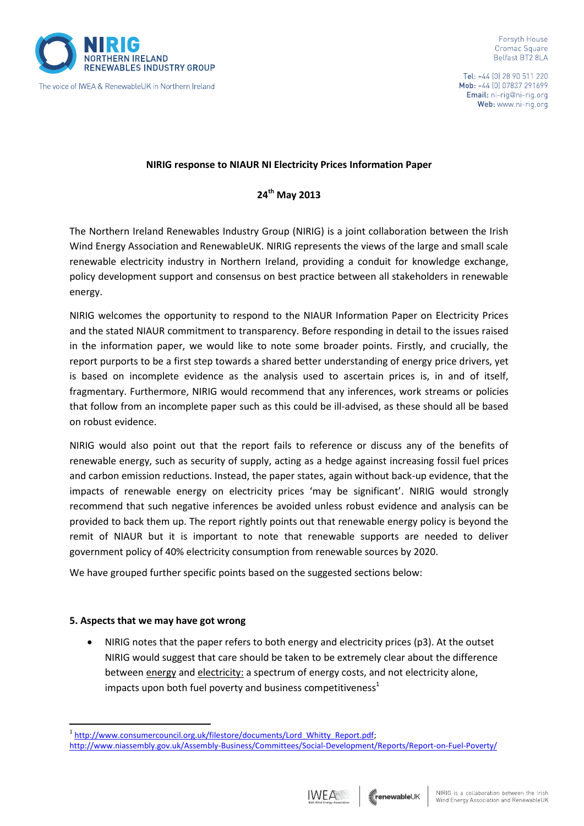

The voice of IWEA & RenewableUK in Northern Ireland

Tel: +44 (0) 28 90 511 220 Mob: +44 [0] 07837 291699 Email: ni-rig@ni-rig.org Web: www.ni-rig.org

### **NIRIG response to NIAUR NI Electricity Prices Information Paper**

**24th May 2013**

The Northern Ireland Renewables Industry Group (NIRIG) is a joint collaboration between the Irish Wind Energy Association and RenewableUK. NIRIG represents the views of the large and small scale renewable electricity industry in Northern Ireland, providing a conduit for knowledge exchange, policy development support and consensus on best practice between all stakeholders in renewable energy.

NIRIG welcomes the opportunity to respond to the NIAUR Information Paper on Electricity Prices and the stated NIAUR commitment to transparency. Before responding in detail to the issues raised in the information paper, we would like to note some broader points. Firstly, and crucially, the report purports to be a first step towards a shared better understanding of energy price drivers, yet is based on incomplete evidence as the analysis used to ascertain prices is, in and of itself, fragmentary. Furthermore, NIRIG would recommend that any inferences, work streams or policies that follow from an incomplete paper such as this could be ill-advised, as these should all be based on robust evidence.

NIRIG would also point out that the report fails to reference or discuss any of the benefits of renewable energy, such as security of supply, acting as a hedge against increasing fossil fuel prices and carbon emission reductions. Instead, the paper states, again without back-up evidence, that the impacts of renewable energy on electricity prices 'may be significant'. NIRIG would strongly recommend that such negative inferences be avoided unless robust evidence and analysis can be provided to back them up. The report rightly points out that renewable energy policy is beyond the remit of NIAUR but it is important to note that renewable supports are needed to deliver government policy of 40% electricity consumption from renewable sources by 2020.

We have grouped further specific points based on the suggested sections below:

#### **5. Aspects that we may have got wrong**

<u>.</u>

 NIRIG notes that the paper refers to both energy and electricity prices (p3). At the outset NIRIG would suggest that care should be taken to be extremely clear about the difference between energy and electricity: a spectrum of energy costs, and not electricity alone, impacts upon both fuel poverty and business competitiveness $1$ 

<sup>&</sup>lt;u><http://www.niassembly.gov.uk/Assembly-Business/Committees/Social-Development/Reports/Report-on-Fuel-Poverty/></u> <sup>1</sup> http://www.consumercouncil.org.uk/filestore/documents/Lord\_Whitty\_Report.pdf;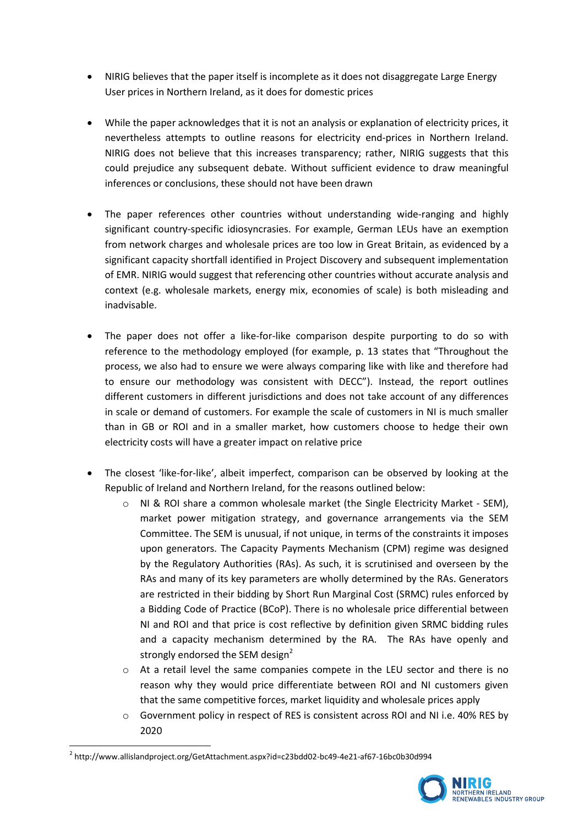- NIRIG believes that the paper itself is incomplete as it does not disaggregate Large Energy User prices in Northern Ireland, as it does for domestic prices
- While the paper acknowledges that it is not an analysis or explanation of electricity prices, it nevertheless attempts to outline reasons for electricity end-prices in Northern Ireland. NIRIG does not believe that this increases transparency; rather, NIRIG suggests that this could prejudice any subsequent debate. Without sufficient evidence to draw meaningful inferences or conclusions, these should not have been drawn
- The paper references other countries without understanding wide-ranging and highly significant country-specific idiosyncrasies. For example, German LEUs have an exemption from network charges and wholesale prices are too low in Great Britain, as evidenced by a significant capacity shortfall identified in Project Discovery and subsequent implementation of EMR. NIRIG would suggest that referencing other countries without accurate analysis and context (e.g. wholesale markets, energy mix, economies of scale) is both misleading and inadvisable.
- The paper does not offer a like-for-like comparison despite purporting to do so with reference to the methodology employed (for example, p. 13 states that "Throughout the process, we also had to ensure we were always comparing like with like and therefore had to ensure our methodology was consistent with DECC"). Instead, the report outlines different customers in different jurisdictions and does not take account of any differences in scale or demand of customers. For example the scale of customers in NI is much smaller than in GB or ROI and in a smaller market, how customers choose to hedge their own electricity costs will have a greater impact on relative price
- The closest 'like-for-like', albeit imperfect, comparison can be observed by looking at the Republic of Ireland and Northern Ireland, for the reasons outlined below:
	- $\circ$  NI & ROI share a common wholesale market (the Single Electricity Market SEM), market power mitigation strategy, and governance arrangements via the SEM Committee. The SEM is unusual, if not unique, in terms of the constraints it imposes upon generators. The Capacity Payments Mechanism (CPM) regime was designed by the Regulatory Authorities (RAs). As such, it is scrutinised and overseen by the RAs and many of its key parameters are wholly determined by the RAs. Generators are restricted in their bidding by Short Run Marginal Cost (SRMC) rules enforced by a Bidding Code of Practice (BCoP). There is no wholesale price differential between NI and ROI and that price is cost reflective by definition given SRMC bidding rules and a capacity mechanism determined by the RA. The RAs have openly and strongly endorsed the SEM design<sup>2</sup>
	- o At a retail level the same companies compete in the LEU sector and there is no reason why they would price differentiate between ROI and NI customers given that the same competitive forces, market liquidity and wholesale prices apply
	- $\circ$  Government policy in respect of RES is consistent across ROI and NI i.e. 40% RES by 2020

1



<sup>2</sup> http://www.allislandproject.org/GetAttachment.aspx?id=c23bdd02-bc49-4e21-af67-16bc0b30d994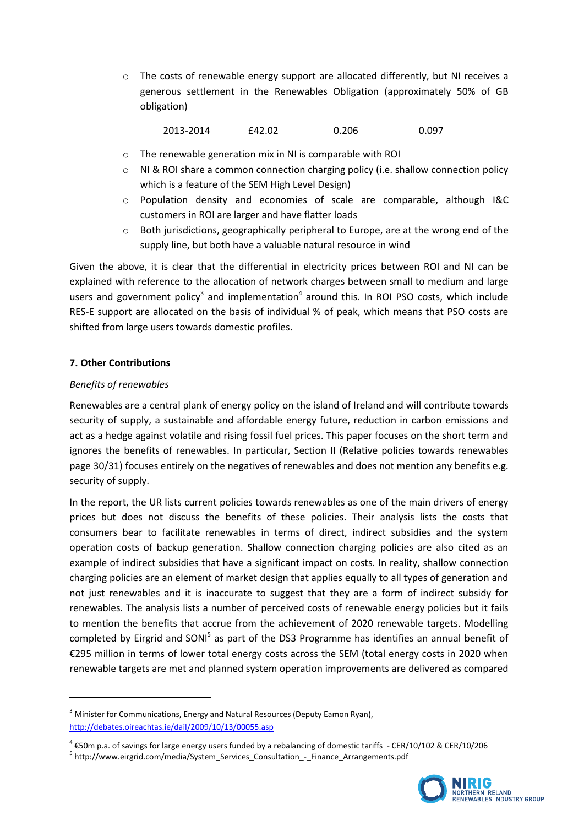$\circ$  The costs of renewable energy support are allocated differently, but NI receives a generous settlement in the Renewables Obligation (approximately 50% of GB obligation)

2013-2014 £42.02 0.206 0.097

- o The renewable generation mix in NI is comparable with ROI
- $\circ$  NI & ROI share a common connection charging policy (i.e. shallow connection policy which is a feature of the SEM High Level Design)
- o Population density and economies of scale are comparable, although I&C customers in ROI are larger and have flatter loads
- $\circ$  Both jurisdictions, geographically peripheral to Europe, are at the wrong end of the supply line, but both have a valuable natural resource in wind

Given the above, it is clear that the differential in electricity prices between ROI and NI can be explained with reference to the allocation of network charges between small to medium and large users and government policy<sup>3</sup> and implementation<sup>4</sup> around this. In ROI PSO costs, which include RES-E support are allocated on the basis of individual % of peak, which means that PSO costs are shifted from large users towards domestic profiles.

# **7. Other Contributions**

## *Benefits of renewables*

<u>.</u>

Renewables are a central plank of energy policy on the island of Ireland and will contribute towards security of supply, a sustainable and affordable energy future, reduction in carbon emissions and act as a hedge against volatile and rising fossil fuel prices. This paper focuses on the short term and ignores the benefits of renewables. In particular, Section II (Relative policies towards renewables page 30/31) focuses entirely on the negatives of renewables and does not mention any benefits e.g. security of supply.

In the report, the UR lists current policies towards renewables as one of the main drivers of energy prices but does not discuss the benefits of these policies. Their analysis lists the costs that consumers bear to facilitate renewables in terms of direct, indirect subsidies and the system operation costs of backup generation. Shallow connection charging policies are also cited as an example of indirect subsidies that have a significant impact on costs. In reality, shallow connection charging policies are an element of market design that applies equally to all types of generation and not just renewables and it is inaccurate to suggest that they are a form of indirect subsidy for renewables. The analysis lists a number of perceived costs of renewable energy policies but it fails to mention the benefits that accrue from the achievement of 2020 renewable targets. Modelling completed by Eirgrid and SONI<sup>5</sup> as part of the DS3 Programme has identifies an annual benefit of €295 million in terms of lower total energy costs across the SEM (total energy costs in 2020 when renewable targets are met and planned system operation improvements are delivered as compared

<sup>&</sup>lt;sup>5</sup> http://www.eirgrid.com/media/System\_Services\_Consultation\_-\_Finance\_Arrangements.pdf



<sup>&</sup>lt;sup>3</sup> Minister for Communications, Energy and Natural Resources (Deputy Eamon Ryan), <http://debates.oireachtas.ie/dail/2009/10/13/00055.asp>

<sup>4</sup> €50m p.a. of savings for large energy users funded by a rebalancing of domestic tariffs - CER/10/102 & CER/10/206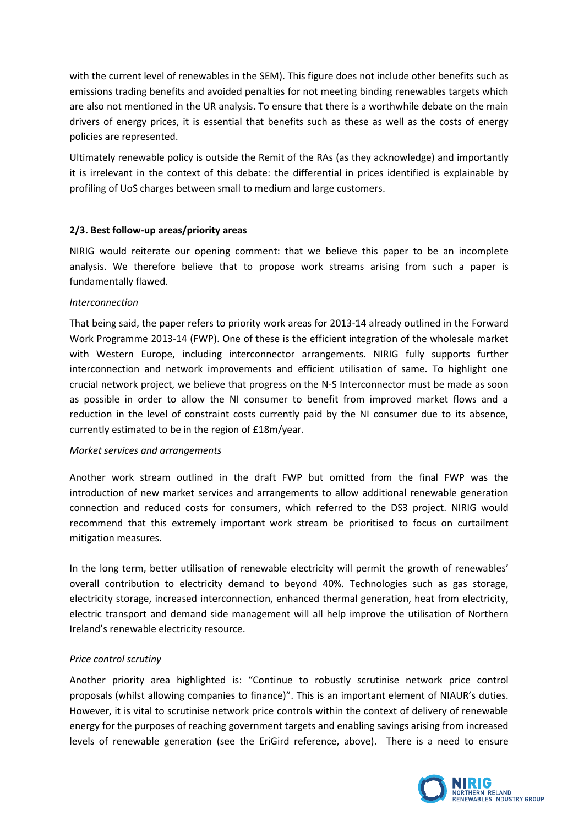with the current level of renewables in the SEM). This figure does not include other benefits such as emissions trading benefits and avoided penalties for not meeting binding renewables targets which are also not mentioned in the UR analysis. To ensure that there is a worthwhile debate on the main drivers of energy prices, it is essential that benefits such as these as well as the costs of energy policies are represented.

Ultimately renewable policy is outside the Remit of the RAs (as they acknowledge) and importantly it is irrelevant in the context of this debate: the differential in prices identified is explainable by profiling of UoS charges between small to medium and large customers.

## **2/3. Best follow-up areas/priority areas**

NIRIG would reiterate our opening comment: that we believe this paper to be an incomplete analysis. We therefore believe that to propose work streams arising from such a paper is fundamentally flawed.

## *Interconnection*

That being said, the paper refers to priority work areas for 2013-14 already outlined in the Forward Work Programme 2013-14 (FWP). One of these is the efficient integration of the wholesale market with Western Europe, including interconnector arrangements. NIRIG fully supports further interconnection and network improvements and efficient utilisation of same. To highlight one crucial network project, we believe that progress on the N-S Interconnector must be made as soon as possible in order to allow the NI consumer to benefit from improved market flows and a reduction in the level of constraint costs currently paid by the NI consumer due to its absence, currently estimated to be in the region of £18m/year.

#### *Market services and arrangements*

Another work stream outlined in the draft FWP but omitted from the final FWP was the introduction of new market services and arrangements to allow additional renewable generation connection and reduced costs for consumers, which referred to the DS3 project. NIRIG would recommend that this extremely important work stream be prioritised to focus on curtailment mitigation measures.

In the long term, better utilisation of renewable electricity will permit the growth of renewables' overall contribution to electricity demand to beyond 40%. Technologies such as gas storage, electricity storage, increased interconnection, enhanced thermal generation, heat from electricity, electric transport and demand side management will all help improve the utilisation of Northern Ireland's renewable electricity resource.

#### *Price control scrutiny*

Another priority area highlighted is: "Continue to robustly scrutinise network price control proposals (whilst allowing companies to finance)". This is an important element of NIAUR's duties. However, it is vital to scrutinise network price controls within the context of delivery of renewable energy for the purposes of reaching government targets and enabling savings arising from increased levels of renewable generation (see the EriGird reference, above). There is a need to ensure